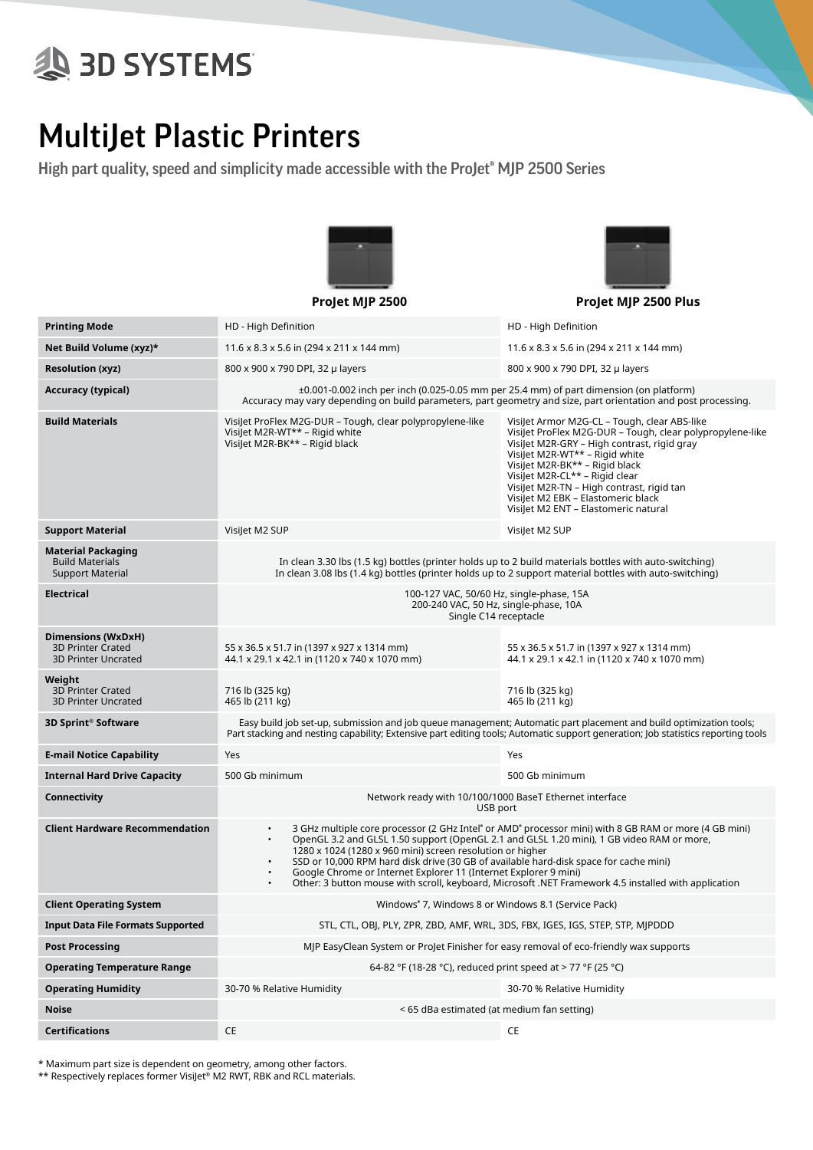## **AS 3D SYSTEMS**

## MultiJet Plastic Printers

High part quality, speed and simplicity made accessible with the ProJet<sup>®</sup> MJP 2500 Series



**ProJet MJP 2500 ProJet MJP 2500 Plus**



**Printing Mode HD** - High Definition **HD** - High Definition **HD** - High Definition **Net Build Volume (xyz)\*** 11.6 x 8.3 x 5.6 in (294 x 211 x 144 mm) 11.6 x 8.3 x 5.6 in (294 x 211 x 144 mm) **Resolution (xyz)** 800 x 900 x 790 DPI, 32 μ layers 800 x 900 x 790 DPI, 32 μ layers 800 x 900 x 790 DPI, 32 μ layers **Accuracy (typical)**  $\qquad 10.001 - 0.002$  inch per inch (0.025-0.05 mm per 25.4 mm) of part dimension (on platform) Accuracy may vary depending on build parameters, part geometry and size, part orientation and post processing. **Build Materials** VisiJet ProFlex M2G-DUR – Tough, clear polypropylene-like VisiJet M2R-WT\*\* – Rigid white VisiJet M2R-BK\*\* – Rigid black VisiJet Armor M2G-CL – Tough, clear ABS-like VisiJet ProFlex M2G-DUR – Tough, clear polypropylene-like VisiJet M2R-GRY – High contrast, rigid gray VisiJet M2R-WT\*\* – Rigid white VisiJet M2R-BK\*\* – Rigid black VisiJet M2R-CL\*\* – Rigid clear VisiJet M2R-TN – High contrast, rigid tan VisiJet M2 EBK – Elastomeric black VisiJet M2 ENT – Elastomeric natural **Support Material** VisiJet M2 SUP VisiJet M2 SUP **Material Packaging** Build Materials Support Material In clean 3.30 lbs (1.5 kg) bottles (printer holds up to 2 build materials bottles with auto-switching) In clean 3.08 lbs (1.4 kg) bottles (printer holds up to 2 support material bottles with auto-switching) **Electrical** 100-127 VAC, 50/60 Hz, single-phase, 15A 200-240 VAC, 50 Hz, single-phase, 10A Single C14 receptacle **Dimensions (WxDxH)** 3D Printer Crated 3D Printer Uncrated 55 x 36.5 x 51.7 in (1397 x 927 x 1314 mm) 44.1 x 29.1 x 42.1 in (1120 x 740 x 1070 mm) 55 x 36.5 x 51.7 in (1397 x 927 x 1314 mm) 44.1 x 29.1 x 42.1 in (1120 x 740 x 1070 mm) **Weight** 3D Printer Crated 3D Printer Uncrated 716 lb (325 kg) 465 lb (211 kg) 716 lb (325 kg) 465 lb (211 kg) **3D Sprint® Software** Easy build job set-up, submission and job queue management; Automatic part placement and build optimization tools; Part stacking and nesting capability; Extensive part editing tools; Automatic support generation; Job statistics reporting tools **E-mail Notice Capability And Yes Account Capability And Yes Account Capability And Yes Account Capability Account Capability Account Capability Account Capability Account Capability Account Capability Account Capability A Internal Hard Drive Capacity** 500 Gb minimum 500 Gb minimum 500 Gb minimum 500 Gb minimum **Connectivity Connectivity Network ready with 10/100/1000 BaseT Ethernet interface** USB port **Client Hardware Recommendation** • 3 GHz multiple core processor (2 GHz Intel® or AMD® processor mini) with 8 GB RAM or more (4 GB mini) • OpenGL 3.2 and GLSL 1.50 support (OpenGL 2.1 and GLSL 1.20 mini), 1 GB video RAM or more, 1280 x 1024 (1280 x 960 mini) screen resolution or higher • SSD or 10,000 RPM hard disk drive (30 GB of available hard-disk space for cache mini) • Google Chrome or Internet Explorer 11 (Internet Explorer 9 mini) • Other: 3 button mouse with scroll, keyboard, Microsoft .NET Framework 4.5 installed with application **Client Operating System** Windows® 7, Windows 8 or Windows 8.1 (Service Pack) **Input Data File Formats Supported** STL, CTL, OBJ, PLY, ZPR, ZBD, AMF, WRL, 3DS, FBX, IGES, IGS, STEP, STP, MJPDDD **Post Processing Post Allen EasyClean System or ProJet Finisher for easy removal of eco-friendly wax supports Operating Temperature Range** 62-82 °F (18-28 °C), reduced print speed at > 77 °F (25 °C) **Operating Humidity** 30-70 % Relative Humidity 30-70 % Relative Humidity **Noise** < 65 dBa estimated (at medium fan setting) **Certifications** CE CE

\* Maximum part size is dependent on geometry, among other factors.

\*\* Respectively replaces former VisiJet® M2 RWT, RBK and RCL materials.